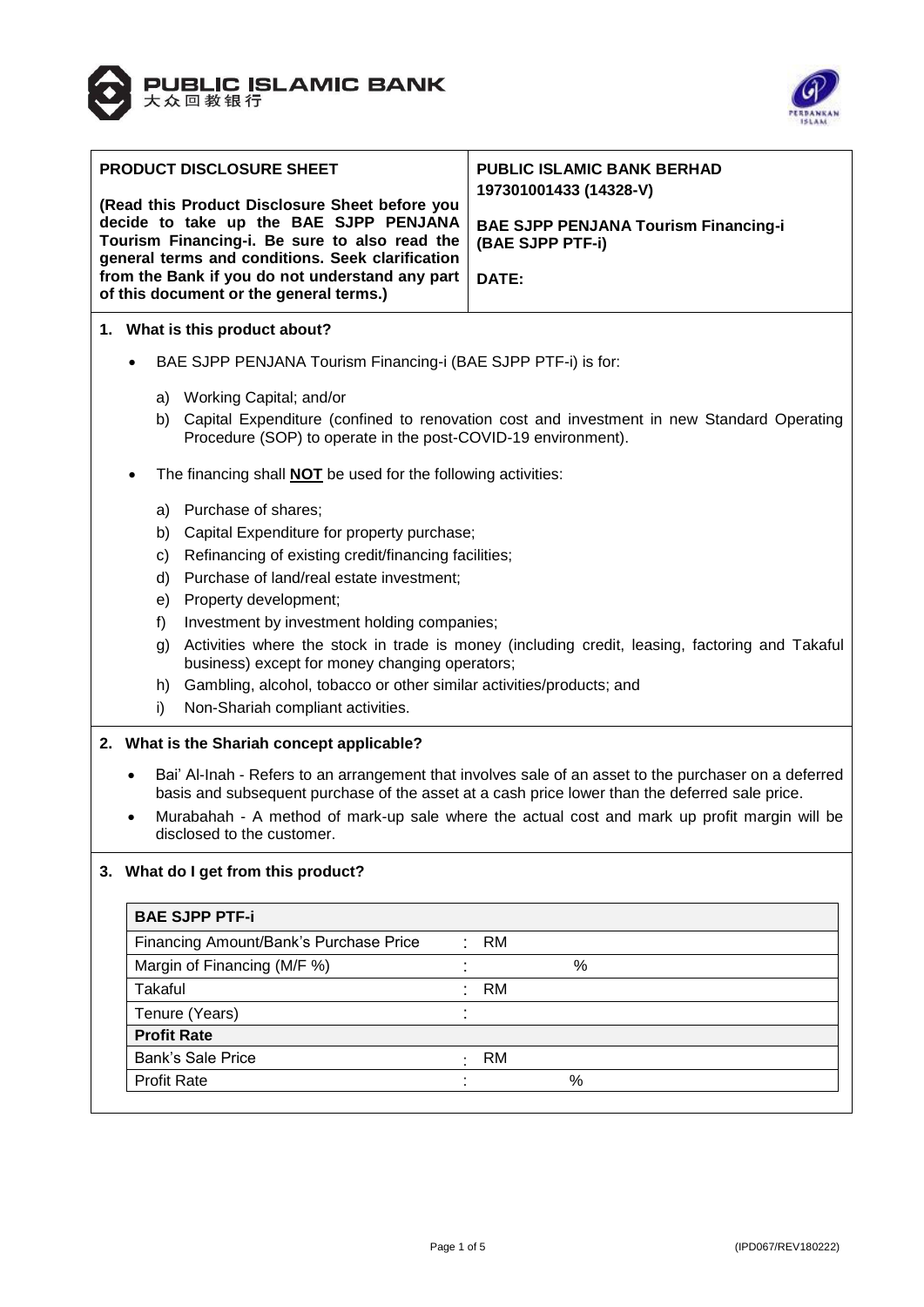



| <b>PRODUCT DISCLOSURE SHEET</b><br>(Read this Product Disclosure Sheet before you<br>decide to take up the BAE SJPP PENJANA<br>Tourism Financing-i. Be sure to also read the<br>general terms and conditions. Seek clarification<br>from the Bank if you do not understand any part<br>of this document or the general terms.) |                                                                                                                                                                                                                                                                                                                                            |                                                      | <b>PUBLIC ISLAMIC BANK BERHAD</b><br>197301001433 (14328-V)<br><b>BAE SJPP PENJANA Tourism Financing-i</b><br>(BAE SJPP PTF-i)<br>DATE: |  |  |
|--------------------------------------------------------------------------------------------------------------------------------------------------------------------------------------------------------------------------------------------------------------------------------------------------------------------------------|--------------------------------------------------------------------------------------------------------------------------------------------------------------------------------------------------------------------------------------------------------------------------------------------------------------------------------------------|------------------------------------------------------|-----------------------------------------------------------------------------------------------------------------------------------------|--|--|
|                                                                                                                                                                                                                                                                                                                                | 1. What is this product about?                                                                                                                                                                                                                                                                                                             |                                                      |                                                                                                                                         |  |  |
|                                                                                                                                                                                                                                                                                                                                | BAE SJPP PENJANA Tourism Financing-i (BAE SJPP PTF-i) is for:                                                                                                                                                                                                                                                                              |                                                      |                                                                                                                                         |  |  |
|                                                                                                                                                                                                                                                                                                                                | a) Working Capital; and/or                                                                                                                                                                                                                                                                                                                 |                                                      |                                                                                                                                         |  |  |
|                                                                                                                                                                                                                                                                                                                                | b) Capital Expenditure (confined to renovation cost and investment in new Standard Operating<br>Procedure (SOP) to operate in the post-COVID-19 environment).                                                                                                                                                                              |                                                      |                                                                                                                                         |  |  |
|                                                                                                                                                                                                                                                                                                                                | The financing shall <b>NOT</b> be used for the following activities:                                                                                                                                                                                                                                                                       |                                                      |                                                                                                                                         |  |  |
|                                                                                                                                                                                                                                                                                                                                | a) Purchase of shares;                                                                                                                                                                                                                                                                                                                     |                                                      |                                                                                                                                         |  |  |
|                                                                                                                                                                                                                                                                                                                                | Capital Expenditure for property purchase;<br>b)                                                                                                                                                                                                                                                                                           |                                                      |                                                                                                                                         |  |  |
|                                                                                                                                                                                                                                                                                                                                | C)                                                                                                                                                                                                                                                                                                                                         | Refinancing of existing credit/financing facilities; |                                                                                                                                         |  |  |
|                                                                                                                                                                                                                                                                                                                                | d)                                                                                                                                                                                                                                                                                                                                         | Purchase of land/real estate investment;             |                                                                                                                                         |  |  |
|                                                                                                                                                                                                                                                                                                                                | Property development;<br>e)                                                                                                                                                                                                                                                                                                                |                                                      |                                                                                                                                         |  |  |
|                                                                                                                                                                                                                                                                                                                                | f)                                                                                                                                                                                                                                                                                                                                         | Investment by investment holding companies;          |                                                                                                                                         |  |  |
|                                                                                                                                                                                                                                                                                                                                | Activities where the stock in trade is money (including credit, leasing, factoring and Takaful<br>g)<br>business) except for money changing operators;                                                                                                                                                                                     |                                                      |                                                                                                                                         |  |  |
|                                                                                                                                                                                                                                                                                                                                | h)                                                                                                                                                                                                                                                                                                                                         |                                                      | Gambling, alcohol, tobacco or other similar activities/products; and                                                                    |  |  |
|                                                                                                                                                                                                                                                                                                                                | i)                                                                                                                                                                                                                                                                                                                                         | Non-Shariah compliant activities.                    |                                                                                                                                         |  |  |
|                                                                                                                                                                                                                                                                                                                                | 2. What is the Shariah concept applicable?                                                                                                                                                                                                                                                                                                 |                                                      |                                                                                                                                         |  |  |
|                                                                                                                                                                                                                                                                                                                                | Bai' Al-Inah - Refers to an arrangement that involves sale of an asset to the purchaser on a deferred<br>basis and subsequent purchase of the asset at a cash price lower than the deferred sale price.<br>Murabahah - A method of mark-up sale where the actual cost and mark up profit margin will be<br>٠<br>disclosed to the customer. |                                                      |                                                                                                                                         |  |  |
|                                                                                                                                                                                                                                                                                                                                | 3. What do I get from this product?                                                                                                                                                                                                                                                                                                        |                                                      |                                                                                                                                         |  |  |
|                                                                                                                                                                                                                                                                                                                                | <b>BAE SJPP PTF-i</b>                                                                                                                                                                                                                                                                                                                      |                                                      |                                                                                                                                         |  |  |
|                                                                                                                                                                                                                                                                                                                                | Financing Amount/Bank's Purchase Price                                                                                                                                                                                                                                                                                                     |                                                      | <b>RM</b>                                                                                                                               |  |  |
|                                                                                                                                                                                                                                                                                                                                | Margin of Financing (M/F %)                                                                                                                                                                                                                                                                                                                |                                                      | %                                                                                                                                       |  |  |
|                                                                                                                                                                                                                                                                                                                                | <b>Takaful</b>                                                                                                                                                                                                                                                                                                                             |                                                      | <b>RM</b>                                                                                                                               |  |  |
|                                                                                                                                                                                                                                                                                                                                | Tenure (Years)                                                                                                                                                                                                                                                                                                                             |                                                      | ٠                                                                                                                                       |  |  |
|                                                                                                                                                                                                                                                                                                                                | <b>Profit Rate</b>                                                                                                                                                                                                                                                                                                                         |                                                      |                                                                                                                                         |  |  |
| <b>Bank's Sale Price</b><br><b>RM</b>                                                                                                                                                                                                                                                                                          |                                                                                                                                                                                                                                                                                                                                            |                                                      |                                                                                                                                         |  |  |
|                                                                                                                                                                                                                                                                                                                                | <b>Profit Rate</b>                                                                                                                                                                                                                                                                                                                         |                                                      | $\%$                                                                                                                                    |  |  |
|                                                                                                                                                                                                                                                                                                                                |                                                                                                                                                                                                                                                                                                                                            |                                                      |                                                                                                                                         |  |  |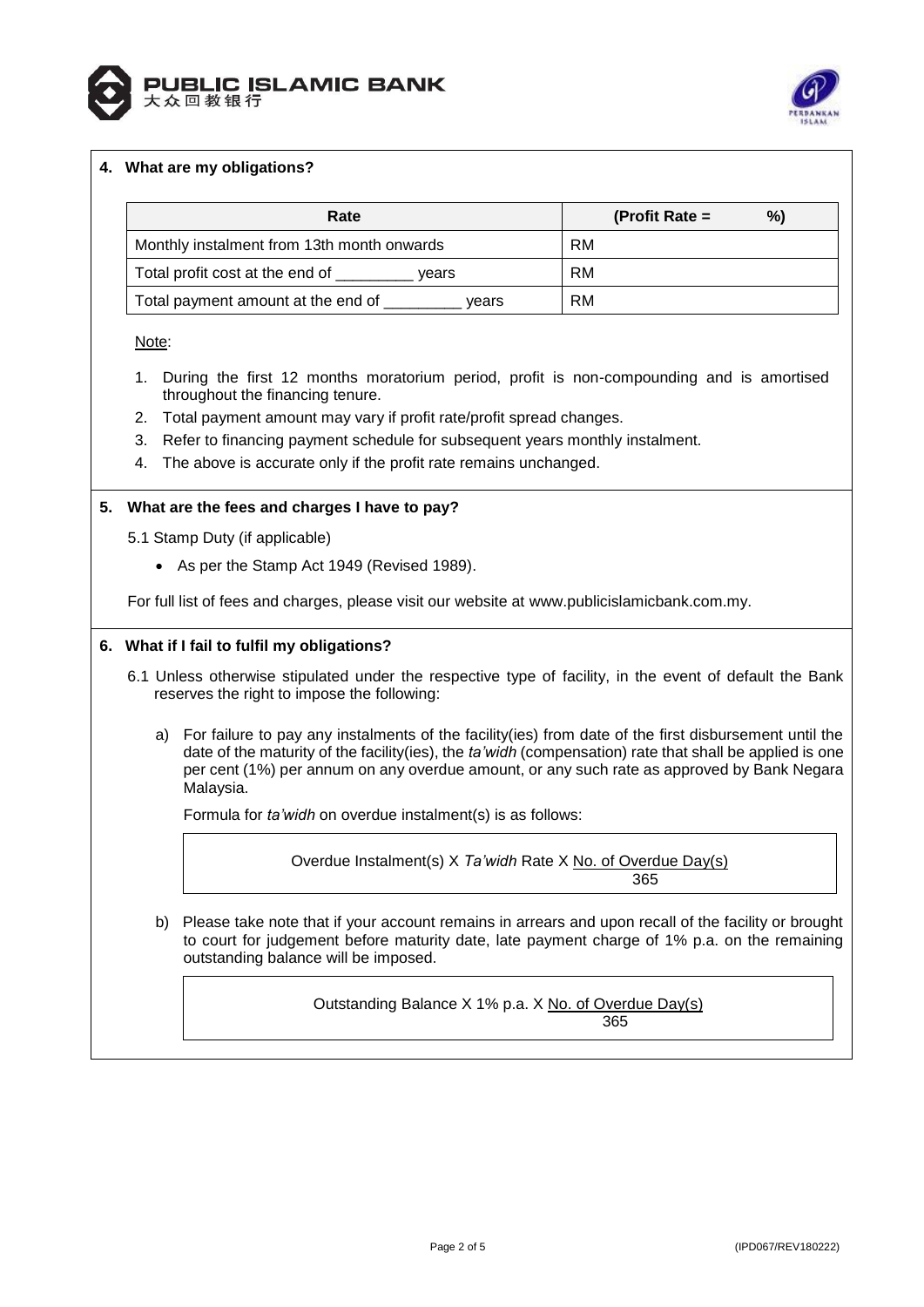



# **4. What are my obligations?**

| Rate                                        | %)<br>(Profit Rate $=$ |
|---------------------------------------------|------------------------|
| Monthly instalment from 13th month onwards  | RM                     |
| Total profit cost at the end of<br>vears    | RM                     |
| Total payment amount at the end of<br>vears | RM                     |

Note:

- 1. During the first 12 months moratorium period, profit is non-compounding and is amortised throughout the financing tenure.
- 2. Total payment amount may vary if profit rate/profit spread changes.
- 3. Refer to financing payment schedule for subsequent years monthly instalment.
- 4. The above is accurate only if the profit rate remains unchanged.

#### **5. What are the fees and charges I have to pay?**

- 5.1 Stamp Duty (if applicable)
	- As per the Stamp Act 1949 (Revised 1989).

For full list of fees and charges, please visit our website at [www.publicislamicbank.com.my.](http://www.publicislamicbank.com.my/)

#### **6. What if I fail to fulfil my obligations?**

- 6.1 Unless otherwise stipulated under the respective type of facility, in the event of default the Bank reserves the right to impose the following:
	- a) For failure to pay any instalments of the facility(ies) from date of the first disbursement until the date of the maturity of the facility(ies), the *ta'widh* (compensation) rate that shall be applied is one per cent (1%) per annum on any overdue amount, or any such rate as approved by Bank Negara Malaysia.

Formula for *ta'widh* on overdue instalment(s) is as follows:

Overdue Instalment(s) X *Ta'widh* Rate X No. of Overdue Day(s) 365

b) Please take note that if your account remains in arrears and upon recall of the facility or brought to court for judgement before maturity date, late payment charge of 1% p.a. on the remaining outstanding balance will be imposed.

> Outstanding Balance X 1% p.a. X No. of Overdue Day(s) 365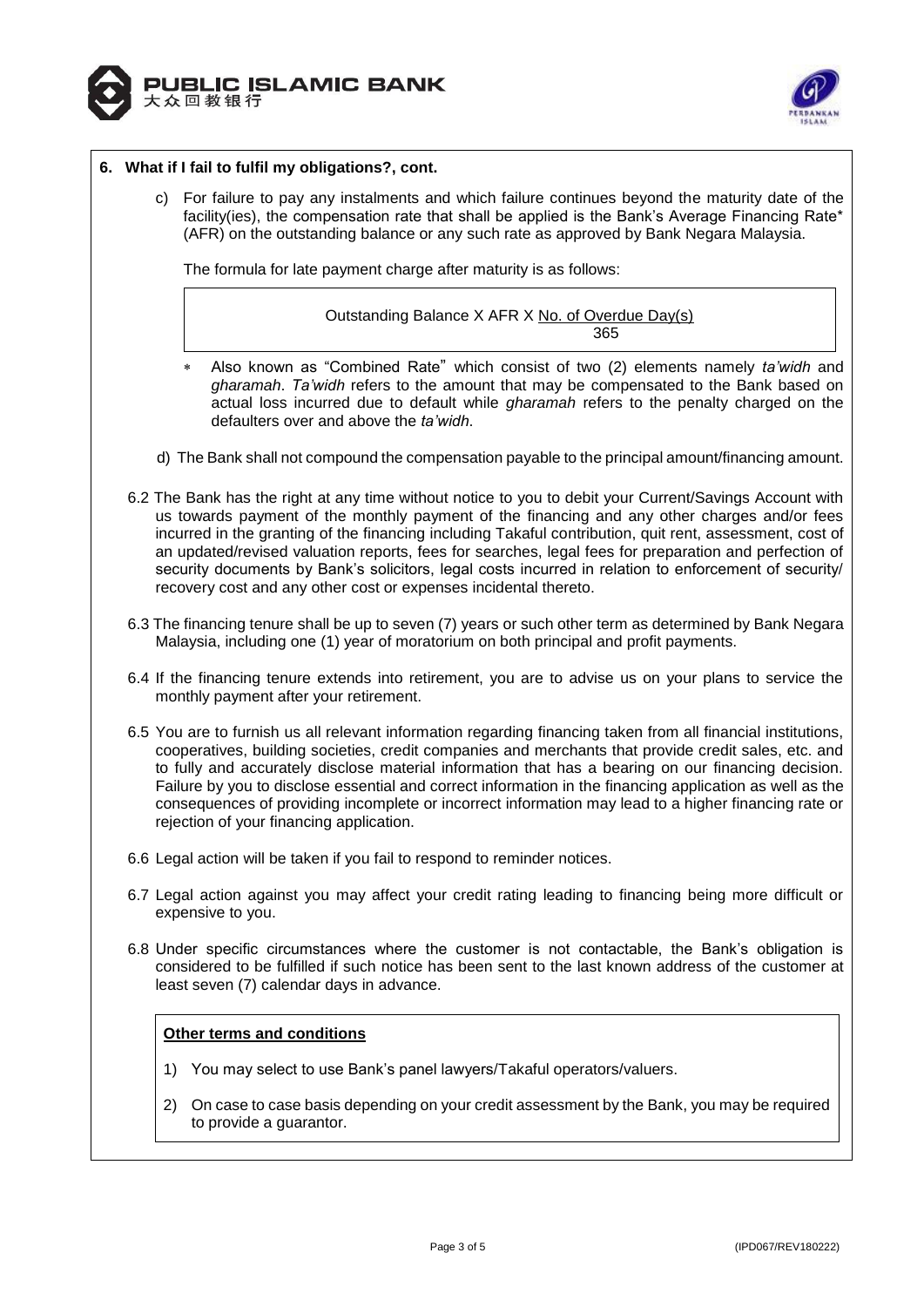



## **6. What if I fail to fulfil my obligations?, cont.**

c) For failure to pay any instalments and which failure continues beyond the maturity date of the facility(ies), the compensation rate that shall be applied is the Bank's Average Financing Rate\* (AFR) on the outstanding balance or any such rate as approved by Bank Negara Malaysia.

The formula for late payment charge after maturity is as follows:

Outstanding Balance X AFR X No. of Overdue Day(s) <u>365 - John Stein, Amerikaansk politiker (</u>

- Also known as "Combined Rate" which consist of two (2) elements namely *ta'widh* and *gharamah*. *Ta'widh* refers to the amount that may be compensated to the Bank based on actual loss incurred due to default while *gharamah* refers to the penalty charged on the defaulters over and above the *ta'widh*.
- d) The Bank shall not compound the compensation payable to the principal amount/financing amount.
- 6.2 The Bank has the right at any time without notice to you to debit your Current/Savings Account with us towards payment of the monthly payment of the financing and any other charges and/or fees incurred in the granting of the financing including Takaful contribution, quit rent, assessment, cost of an updated/revised valuation reports, fees for searches, legal fees for preparation and perfection of security documents by Bank's solicitors, legal costs incurred in relation to enforcement of security/ recovery cost and any other cost or expenses incidental thereto.
- 6.3 The financing tenure shall be up to seven (7) years or such other term as determined by Bank Negara Malaysia, including one (1) year of moratorium on both principal and profit payments.
- 6.4 If the financing tenure extends into retirement, you are to advise us on your plans to service the monthly payment after your retirement.
- 6.5 You are to furnish us all relevant information regarding financing taken from all financial institutions, cooperatives, building societies, credit companies and merchants that provide credit sales, etc. and to fully and accurately disclose material information that has a bearing on our financing decision. Failure by you to disclose essential and correct information in the financing application as well as the consequences of providing incomplete or incorrect information may lead to a higher financing rate or rejection of your financing application.
- 6.6 Legal action will be taken if you fail to respond to reminder notices.
- 6.7 Legal action against you may affect your credit rating leading to financing being more difficult or expensive to you.
- 6.8 Under specific circumstances where the customer is not contactable, the Bank's obligation is considered to be fulfilled if such notice has been sent to the last known address of the customer at least seven (7) calendar days in advance.

## **Other terms and conditions**

- 1) You may select to use Bank's panel lawyers/Takaful operators/valuers.
- 2) On case to case basis depending on your credit assessment by the Bank, you may be required to provide a guarantor.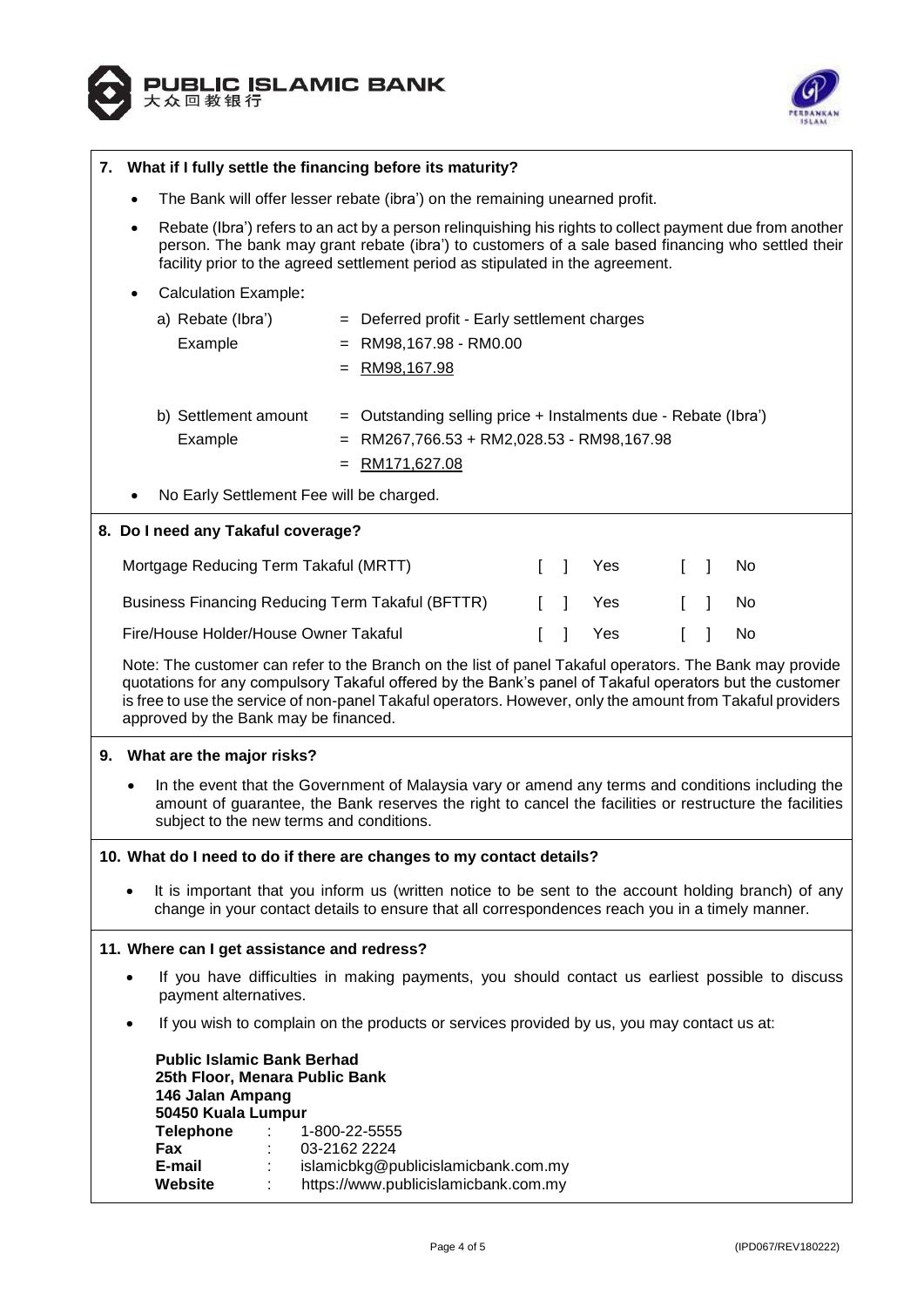



| What if I fully settle the financing before its maturity?<br>7.                                                                                                                                                                                                                                                                                                           |                              |  |  |  |
|---------------------------------------------------------------------------------------------------------------------------------------------------------------------------------------------------------------------------------------------------------------------------------------------------------------------------------------------------------------------------|------------------------------|--|--|--|
| The Bank will offer lesser rebate (ibra') on the remaining unearned profit.<br>$\bullet$                                                                                                                                                                                                                                                                                  |                              |  |  |  |
| Rebate (Ibra') refers to an act by a person relinquishing his rights to collect payment due from another<br>$\bullet$<br>person. The bank may grant rebate (ibra') to customers of a sale based financing who settled their<br>facility prior to the agreed settlement period as stipulated in the agreement.                                                             |                              |  |  |  |
| <b>Calculation Example:</b>                                                                                                                                                                                                                                                                                                                                               |                              |  |  |  |
| a) Rebate (Ibra')<br>Deferred profit - Early settlement charges<br>$=$<br>Example<br>RM98,167.98 - RM0.00<br>RM98,167.98                                                                                                                                                                                                                                                  |                              |  |  |  |
| b) Settlement amount<br>Outstanding selling price + Instalments due - Rebate (Ibra')<br>Example<br>RM267,766.53 + RM2,028.53 - RM98,167.98<br>RM171,627.08                                                                                                                                                                                                                |                              |  |  |  |
| No Early Settlement Fee will be charged.                                                                                                                                                                                                                                                                                                                                  |                              |  |  |  |
| 8. Do I need any Takaful coverage?                                                                                                                                                                                                                                                                                                                                        |                              |  |  |  |
| Mortgage Reducing Term Takaful (MRTT)<br>$\mathbf{I}$<br>Yes<br>T.                                                                                                                                                                                                                                                                                                        | $\mathbb{L}$<br>No<br>$\Box$ |  |  |  |
| Business Financing Reducing Term Takaful (BFTTR)<br>Yes                                                                                                                                                                                                                                                                                                                   | $\mathbf{1}$<br>No           |  |  |  |
| Fire/House Holder/House Owner Takaful<br>Yes                                                                                                                                                                                                                                                                                                                              | No                           |  |  |  |
| Note: The customer can refer to the Branch on the list of panel Takaful operators. The Bank may provide<br>quotations for any compulsory Takaful offered by the Bank's panel of Takaful operators but the customer<br>is free to use the service of non-panel Takaful operators. However, only the amount from Takaful providers<br>approved by the Bank may be financed. |                              |  |  |  |
| 9. What are the major risks?                                                                                                                                                                                                                                                                                                                                              |                              |  |  |  |
| In the event that the Government of Malaysia vary or amend any terms and conditions including the<br>amount of guarantee, the Bank reserves the right to cancel the facilities or restructure the facilities<br>subject to the new terms and conditions.                                                                                                                  |                              |  |  |  |
| 10. What do I need to do if there are changes to my contact details?                                                                                                                                                                                                                                                                                                      |                              |  |  |  |
| It is important that you inform us (written notice to be sent to the account holding branch) of any<br>change in your contact details to ensure that all correspondences reach you in a timely manner.                                                                                                                                                                    |                              |  |  |  |
| 11. Where can I get assistance and redress?                                                                                                                                                                                                                                                                                                                               |                              |  |  |  |
| If you have difficulties in making payments, you should contact us earliest possible to discuss<br>payment alternatives.                                                                                                                                                                                                                                                  |                              |  |  |  |
| If you wish to complain on the products or services provided by us, you may contact us at:                                                                                                                                                                                                                                                                                |                              |  |  |  |
| <b>Public Islamic Bank Berhad</b><br>25th Floor, Menara Public Bank<br>146 Jalan Ampang<br>50450 Kuala Lumpur                                                                                                                                                                                                                                                             |                              |  |  |  |
| <b>Telephone</b><br>1-800-22-5555<br>Fax<br>03-2162 2224                                                                                                                                                                                                                                                                                                                  |                              |  |  |  |
| E-mail<br>islamicbkg@publicislamicbank.com.my<br>Website<br>https://www.publicislamicbank.com.my                                                                                                                                                                                                                                                                          |                              |  |  |  |